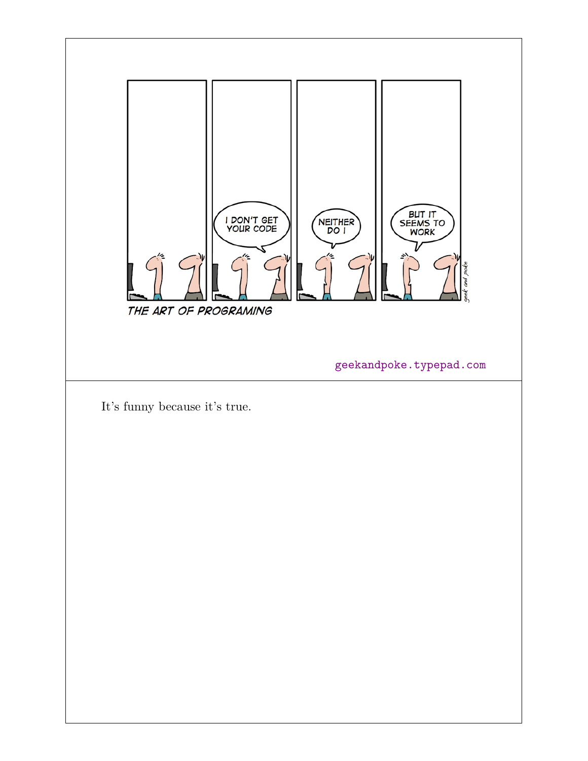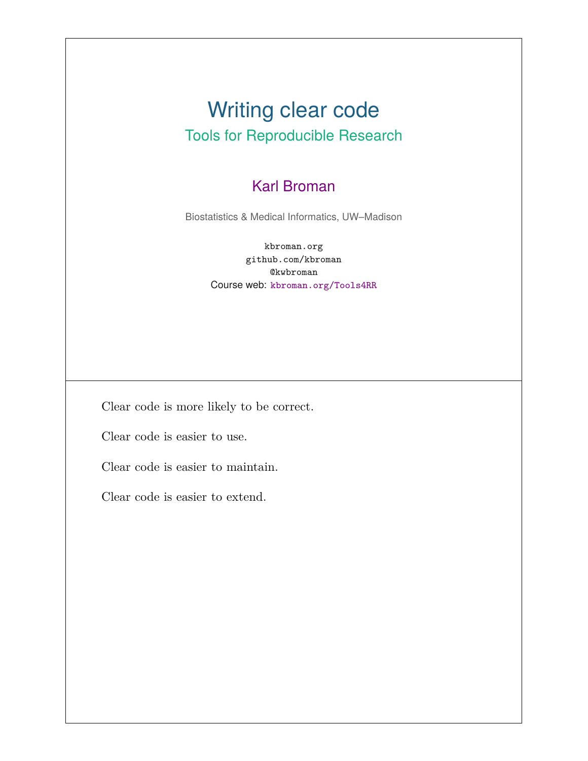#### Writing clear code Tools for Reproducible Research

#### Karl Broman

Biostatistics & Medical Informatics, UW–Madison

kbroman.org github.com/kbroman @kwbroman Course web: kbroman.org/Tools4RR

Clear code is more likely to be correct.

Clear code is easier to use.

Clear code is easier to maintain.

Clear code is easier to extend.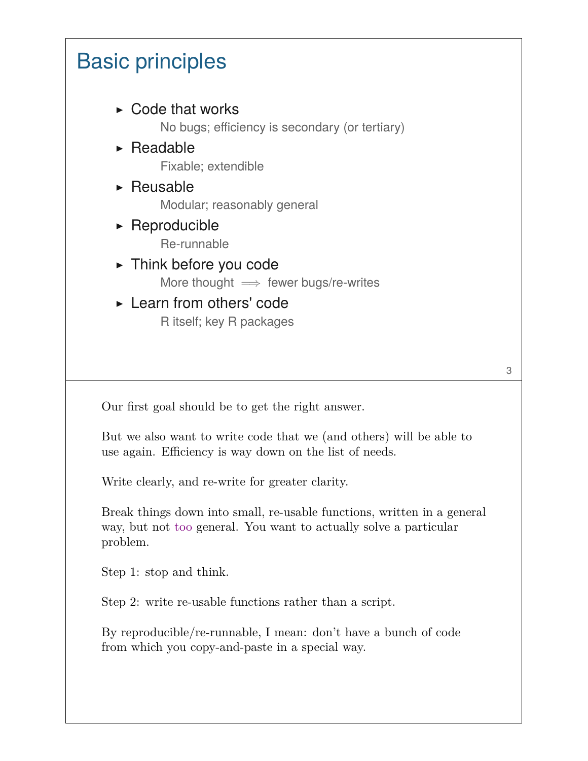## Basic principles

- $\triangleright$  Code that works No bugs; efficiency is secondary (or tertiary)
- $\triangleright$  Readable Fixable; extendible
- $\triangleright$  Reusable Modular; reasonably general
- ▶ Reproducible Re-runnable
- ▶ Think before you code More thought  $\implies$  fewer bugs/re-writes
- ▶ Learn from others' code R itself; key R packages

Our first goal should be to get the right answer.

But we also want to write code that we (and others) will be able to use again. Efficiency is way down on the list of needs.

Write clearly, and re-write for greater clarity.

Break things down into small, re-usable functions, written in a general way, but not too general. You want to actually solve a particular problem.

Step 1: stop and think.

Step 2: write re-usable functions rather than a script.

By reproducible/re-runnable, I mean: don't have a bunch of code from which you copy-and-paste in a special way.

3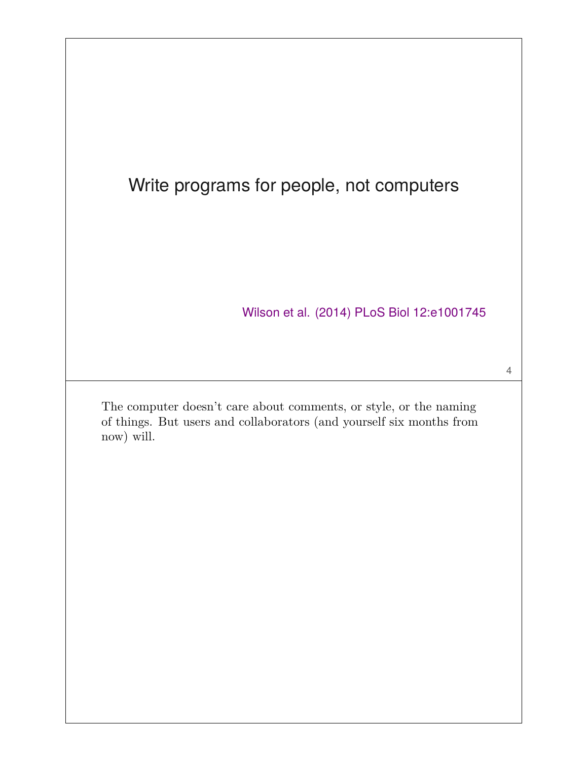#### Write programs for people, not computers

Wilson et al. (2014) PLoS Biol 12:e1001745

4

The computer doesn't care about comments, or style, or the naming of things. But users and collaborators (and yourself six months from now) will.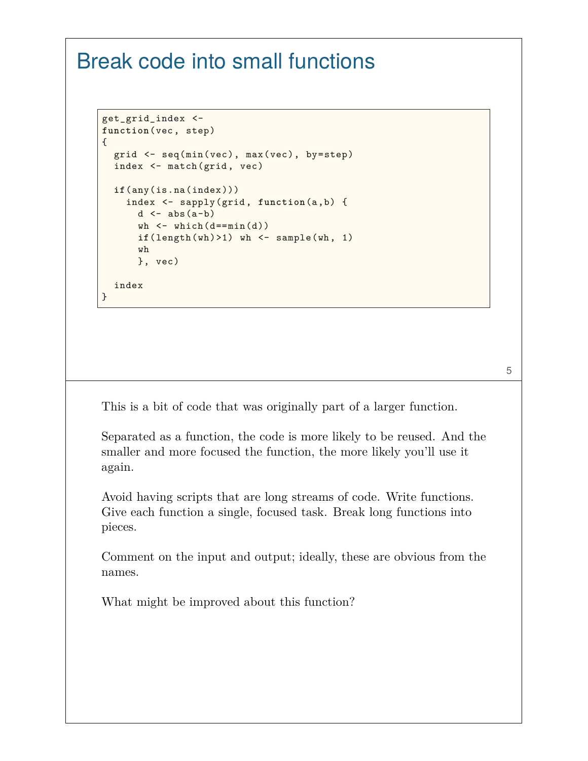#### Break code into small functions

```
get_grid_index <-
function(vec, step)
{
  grid <- seq(min(vec), max(vec), by=step)
  index <- match(grid, vec)
  if(any(is.na(index)))
    index <- sapply(grid, function(a,b) {
      d \leftarrow abs(a-b)wh \leftarrow which (d == min(d))if(length(wh) > 1) wh \leftarrow sample(wh, 1)
      wh
      }, vec)
  index
}
```
This is a bit of code that was originally part of a larger function.

Separated as a function, the code is more likely to be reused. And the smaller and more focused the function, the more likely you'll use it again.

Avoid having scripts that are long streams of code. Write functions. Give each function a single, focused task. Break long functions into pieces.

Comment on the input and output; ideally, these are obvious from the names.

What might be improved about this function?

5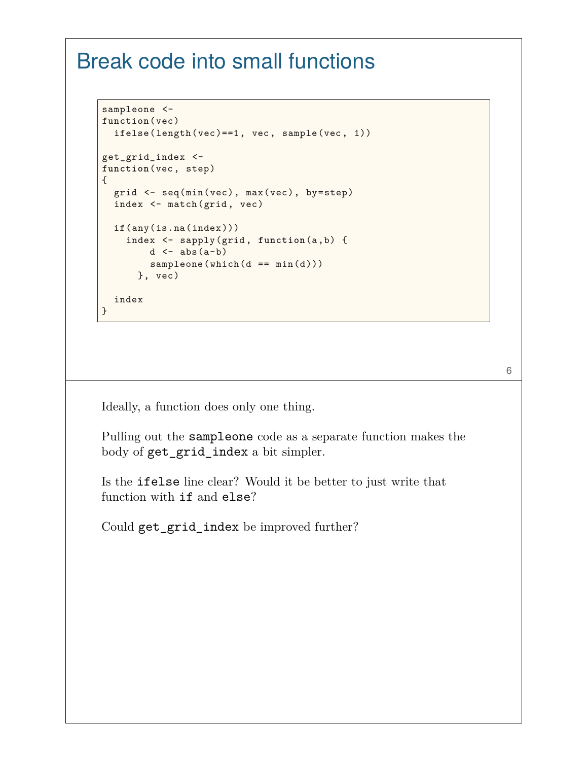#### Break code into small functions

```
sampleone <-
function(vec)
  ifelse(length(vec)==1, vec, sample(vec, 1))
get_grid_index <-
function(vec, step)
{
 grid <- seq(min(vec), max(vec), by=step)
 index <- match(grid, vec)
 if(any(is.na(index)))
    index <- sapply(grid, function(a,b) {
       d \leftarrow abs(a-b)sampleone(which(d == min(d)))}, vec)
  index
}
```
Ideally, a function does only one thing.

Pulling out the sampleone code as a separate function makes the body of get\_grid\_index a bit simpler.

6

Is the ifelse line clear? Would it be better to just write that function with if and else?

Could get\_grid\_index be improved further?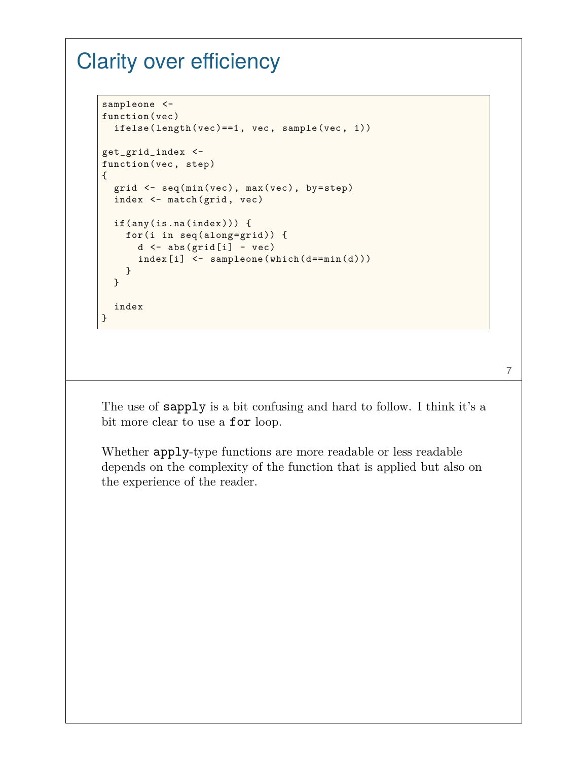#### Clarity over efficiency

```
sampleone <-
function(vec)
  ifelse(length(vec)==1, vec, sample(vec, 1))
get_grid_index <-
function(vec, step)
{
 grid <- seq(min(vec), max(vec), by=step)
  index <- match(grid, vec)
  if(any(is.na(index))) {
    for(i in seq(along=grid)) {
      d \leftarrow abs(grid[i] - vec)index[i] <- sampleone(which(d==min(d)))
    }
  }
  index
}
```
7

The use of sapply is a bit confusing and hard to follow. I think it's a bit more clear to use a **for** loop.

Whether apply-type functions are more readable or less readable depends on the complexity of the function that is applied but also on the experience of the reader.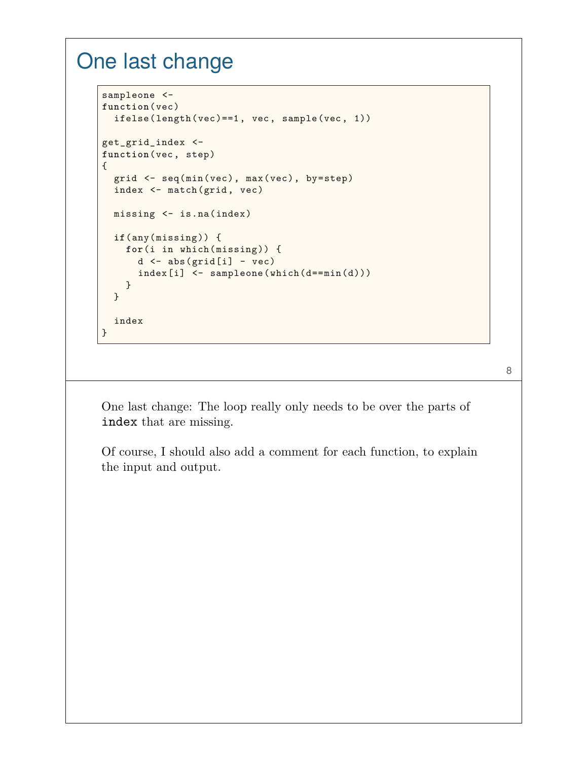#### One last change

```
sampleone <-
function(vec)
  ifelse(length(vec)==1, vec, sample(vec, 1))
get_grid_index <-
function(vec, step)
{
 grid <- seq(min(vec), max(vec), by=step)
 index <- match(grid, vec)
 missing <- is.na(index)
  if(any(missing)) {
    for(i in which(missing)) {
      d \leftarrow abs(grid[i] - vec)index[i] <- sampleone(which(d==min(d)))
    }
  }
  index
}
```
8

One last change: The loop really only needs to be over the parts of index that are missing.

Of course, I should also add a comment for each function, to explain the input and output.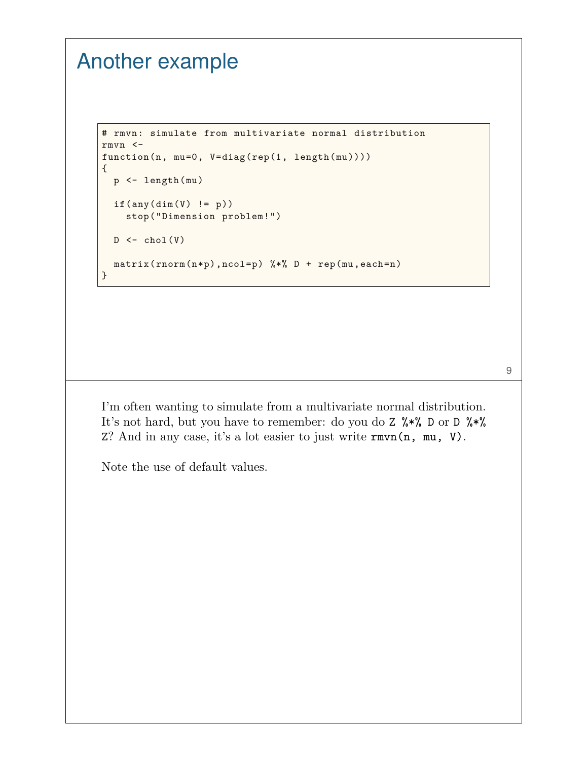## Another example

```
# rmvn: simulate from multivariate normal distribution
rmvn <-
function(n, mu=0, V=diag(rep(1, length(mu))))
{
 p <- length(mu)
  if(any(dim(V) != p))
    stop("Dimension problem!")
  D \leftarrow \text{chol}(V)matrix(rnorm(n*p),ncol=p) %*% D + rep(mu,each=n)
}
```
I'm often wanting to simulate from a multivariate normal distribution. It's not hard, but you have to remember: do you do Z %\*% D or D %\*% Z? And in any case, it's a lot easier to just write rmvn(n, mu, V).

9

Note the use of default values.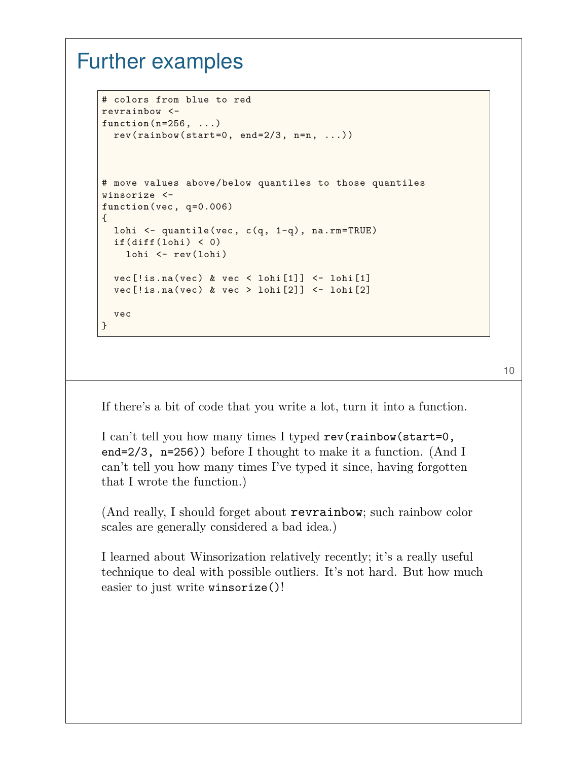#### Further examples

```
# colors from blue to red
revrainbow <-
function(n=256, ...)
 rev(rainbow(start=0, end=2/3, n=n, ...))# move values above/below quantiles to those quantiles
winsorize <-
function(vec, q=0.006)
\mathfrak{t}lohi <- quantile(vec, c(q, 1-q), na.rm=TRUE)
  if(diff(lohi) < 0)
    lohi <- rev(lohi)
  vec[!is-na(vec) & vec < lohi[1]] \leftarrow lohi[1]vec[!is.na(vec) &vec > 1ohi[2]] <- 1ohi[2]vec
}
```
10

If there's a bit of code that you write a lot, turn it into a function.

I can't tell you how many times I typed rev(rainbow(start=0, end=2/3, n=256)) before I thought to make it a function. (And I can't tell you how many times I've typed it since, having forgotten that I wrote the function.)

(And really, I should forget about revrainbow; such rainbow color scales are generally considered a bad idea.)

I learned about Winsorization relatively recently; it's a really useful technique to deal with possible outliers. It's not hard. But how much easier to just write winsorize()!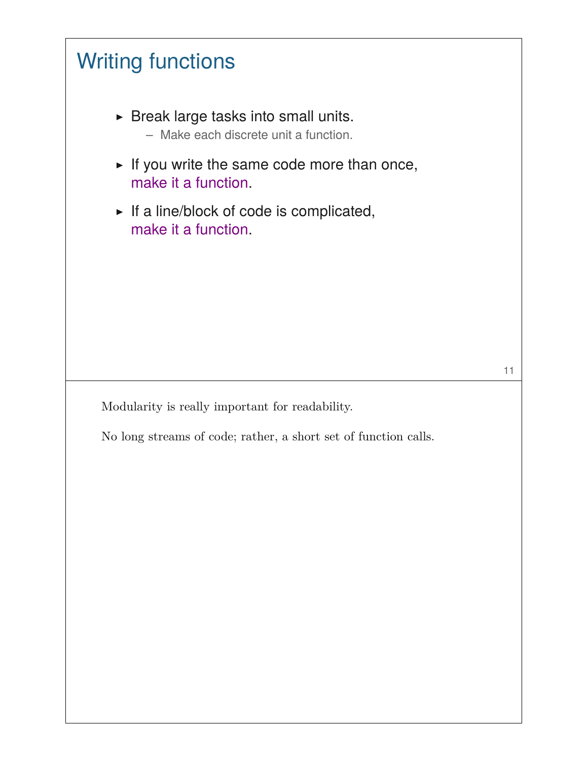

No long streams of code; rather, a short set of function calls.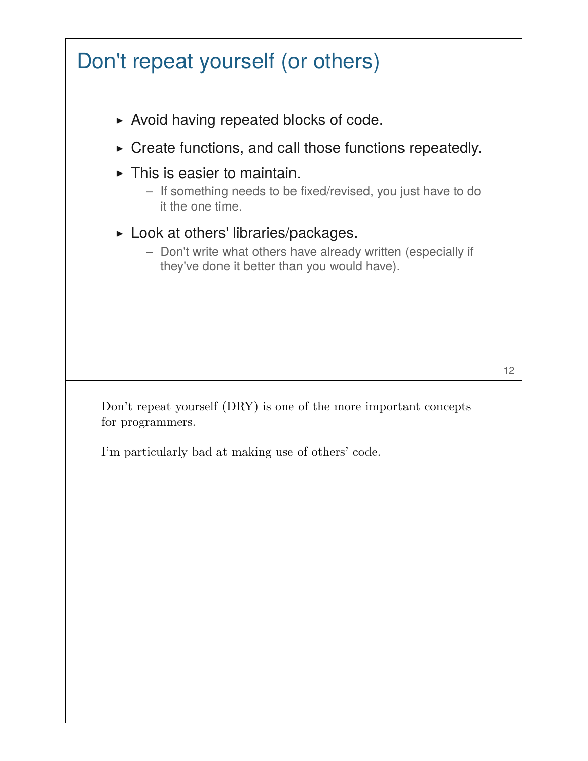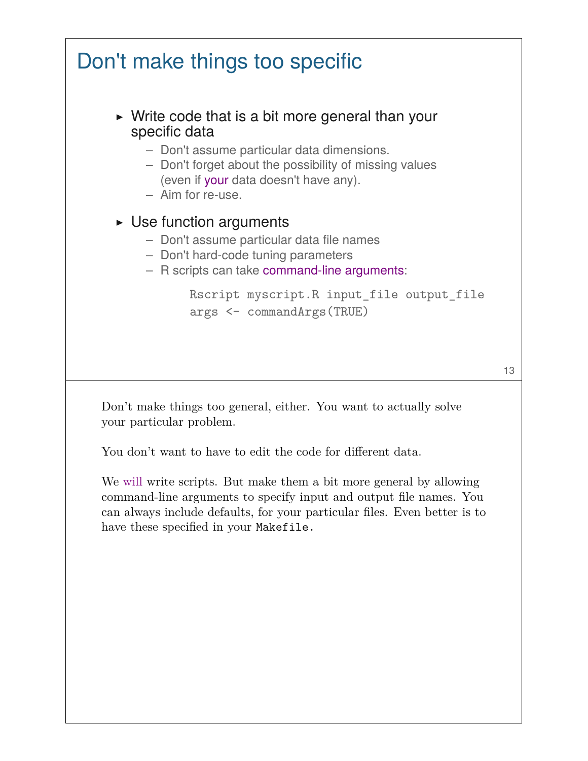

Don't make things too general, either. You want to actually solve your particular problem.

You don't want to have to edit the code for different data.

We will write scripts. But make them a bit more general by allowing command-line arguments to specify input and output file names. You can always include defaults, for your particular files. Even better is to have these specified in your Makefile.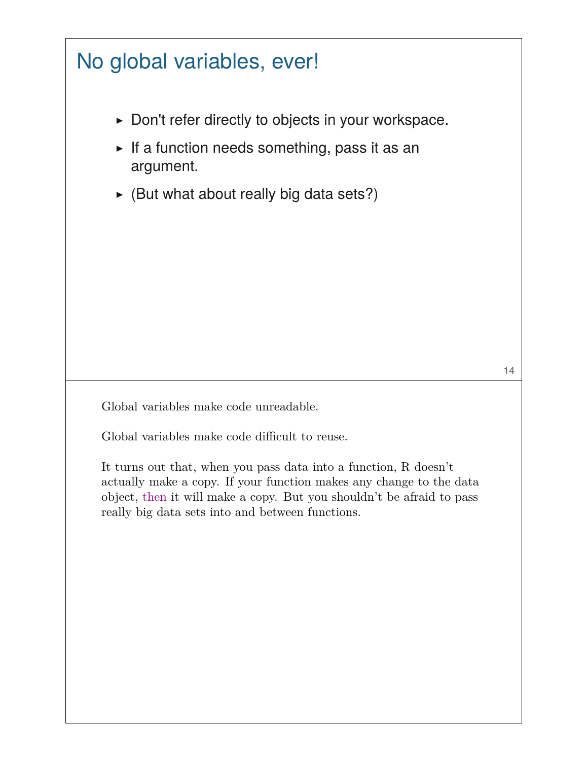## No global variables, ever!

- ▶ Don't refer directly to objects in your workspace.
- $\triangleright$  If a function needs something, pass it as an argument.
- $\triangleright$  (But what about really big data sets?)

Global variables make code unreadable.

Global variables make code difficult to reuse.

It turns out that, when you pass data into a function, R doesn't actually make a copy. If your function makes any change to the data object, then it will make a copy. But you shouldn't be afraid to pass really big data sets into and between functions.

14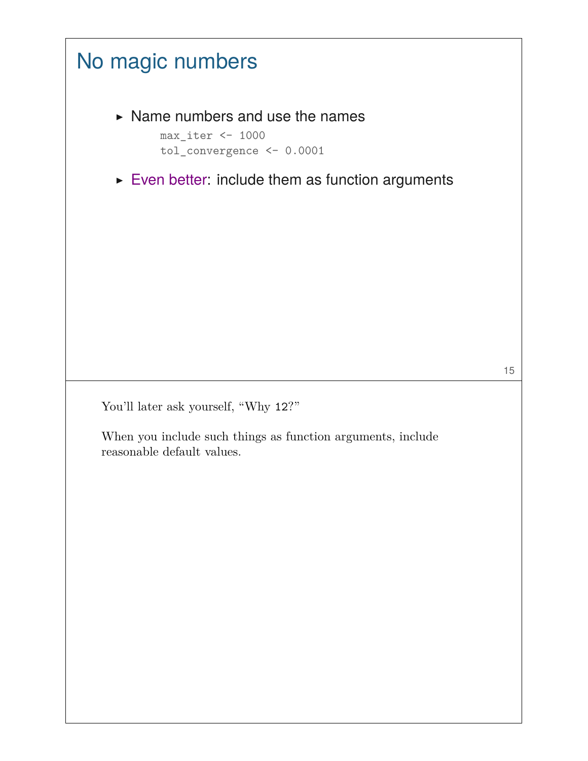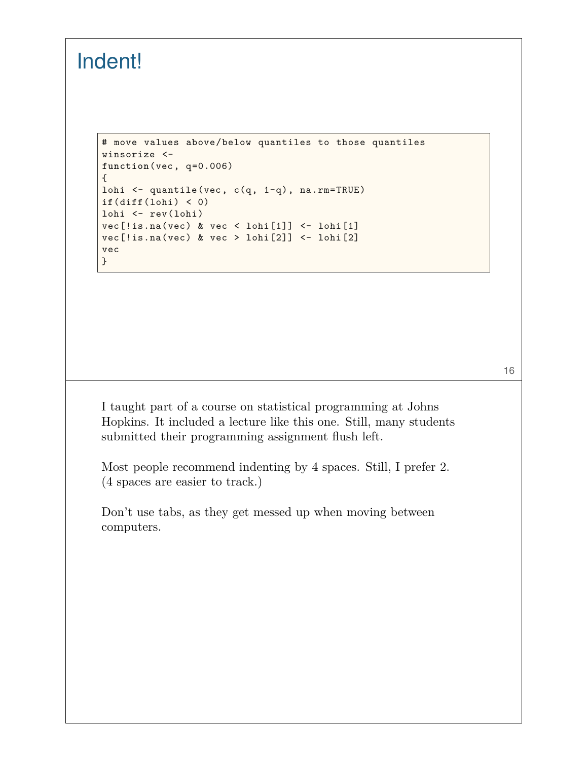## Indent!

```
# move values above/below quantiles to those quantiles
winsorize <-
function(vec, q=0.006)
{
lohi <- quantile(vec, c(q, 1-q), na.rm=TRUE)
if(diff(lohi) < 0)
lohi <- rev(lohi)
vec[!is.na(vec) & vec < lohi[1]] <- lohi[1]
vec[!is,na(vec) & vec > lohi[2]] <- lohi[2]vec
}
```
I taught part of a course on statistical programming at Johns Hopkins. It included a lecture like this one. Still, many students submitted their programming assignment flush left.

16

Most people recommend indenting by 4 spaces. Still, I prefer 2. (4 spaces are easier to track.)

Don't use tabs, as they get messed up when moving between computers.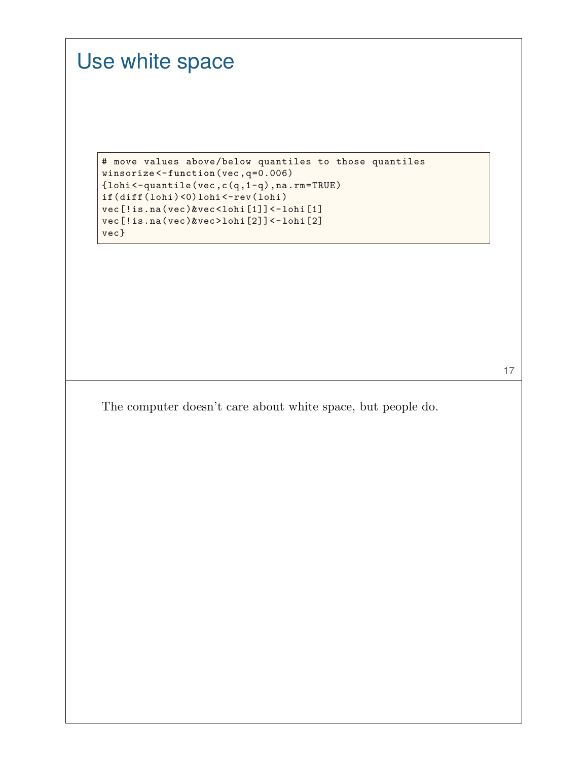## Use white space

```
# move values above/below quantiles to those quantiles
winsorize <-function(vec,q=0.006)
{lohi<-quantile(vec,c(q,1-q),na.rm=TRUE)
if(diff(lohi)<0)lohi<-rev(lohi)
vec[!is.na(vec)&vec<lohi[1]]<-lohi[1]
vec[!is.na(vec)&vec>lohi[2]]<-lohi[2]
vec}
```
17

The computer doesn't care about white space, but people do.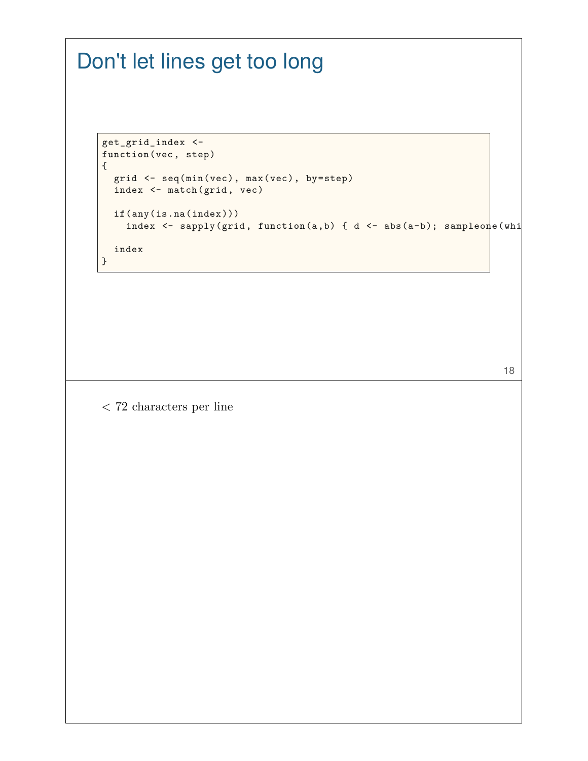## Don't let lines get too long

```
get_grid_index <-
function(vec, step)
{
 grid <- seq(min(vec), max(vec), by=step)
 index <- match(grid, vec)
  if(any(is.na(index)))
    index <- sapply(grid, function(a,b) { d <- abs(a-b); sampleone(whi
  index
}
```
< 72 characters per line

18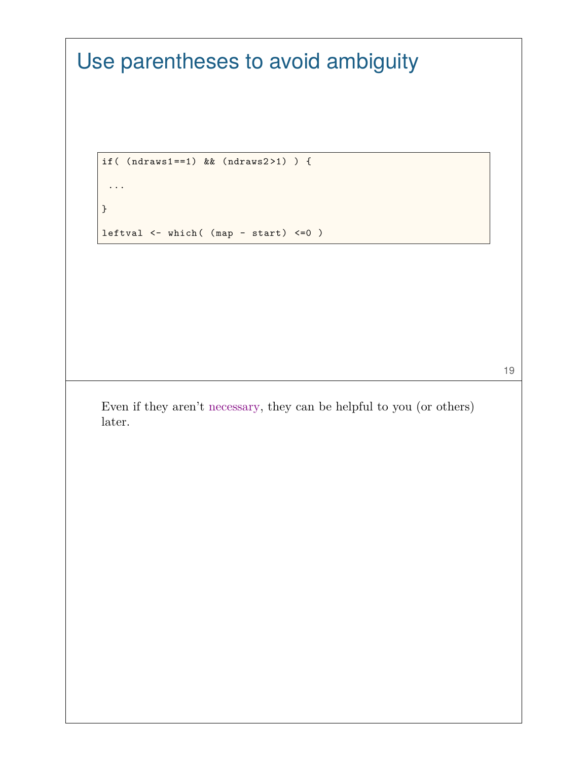```
Use parentheses to avoid ambiguity
    if( (ndraws1==1) && (ndraws2 >1) ) {
    ...
    }
   leftval <- which( (map - start) <=0 )
                                                                  19
   Even if they aren't necessary, they can be helpful to you (or others)
   later.
```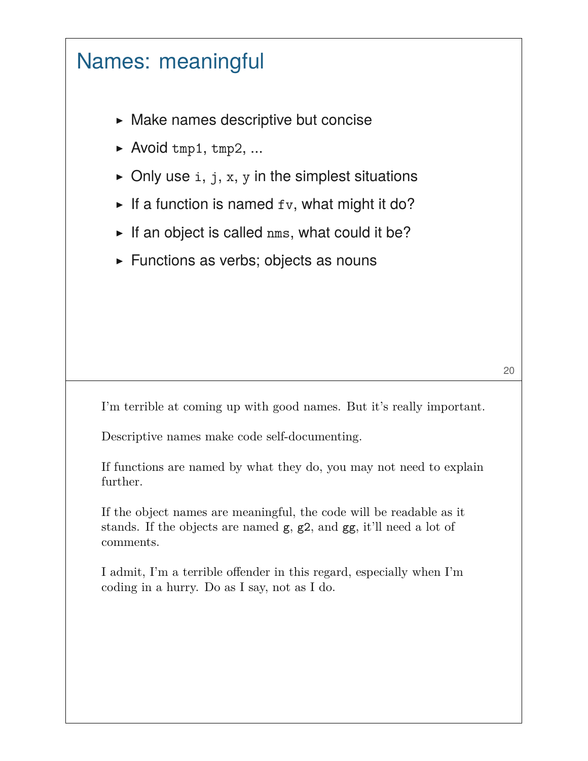#### Names: meaningful

- ▶ Make names descriptive but concise
- $\blacktriangleright$  Avoid tmp1, tmp2, ...
- $\triangleright$  Only use i, j, x, y in the simplest situations
- $\blacktriangleright$  If a function is named  $f_v$ , what might it do?
- $\blacktriangleright$  If an object is called nms, what could it be?
- ▶ Functions as verbs; objects as nouns

I'm terrible at coming up with good names. But it's really important.

Descriptive names make code self-documenting.

If functions are named by what they do, you may not need to explain further.

If the object names are meaningful, the code will be readable as it stands. If the objects are named g, g2, and gg, it'll need a lot of comments.

I admit, I'm a terrible offender in this regard, especially when I'm coding in a hurry. Do as I say, not as I do.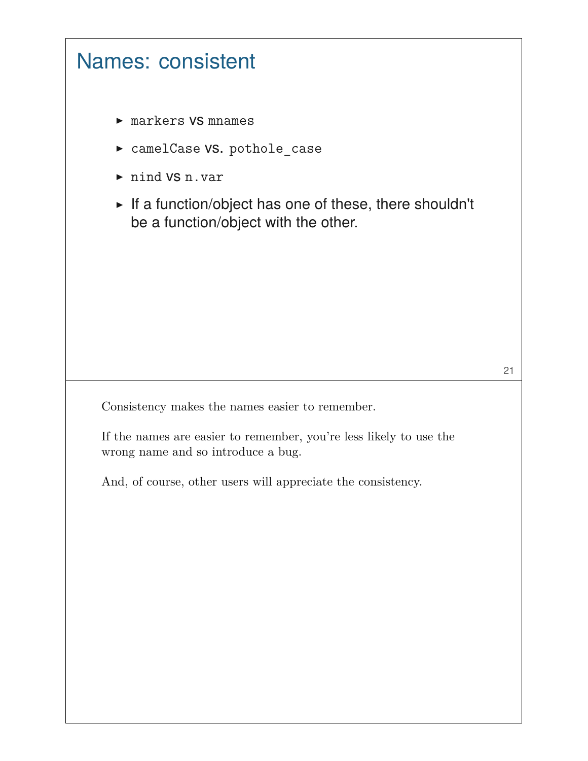

Consistency makes the names easier to remember.

If the names are easier to remember, you're less likely to use the wrong name and so introduce a bug.

And, of course, other users will appreciate the consistency.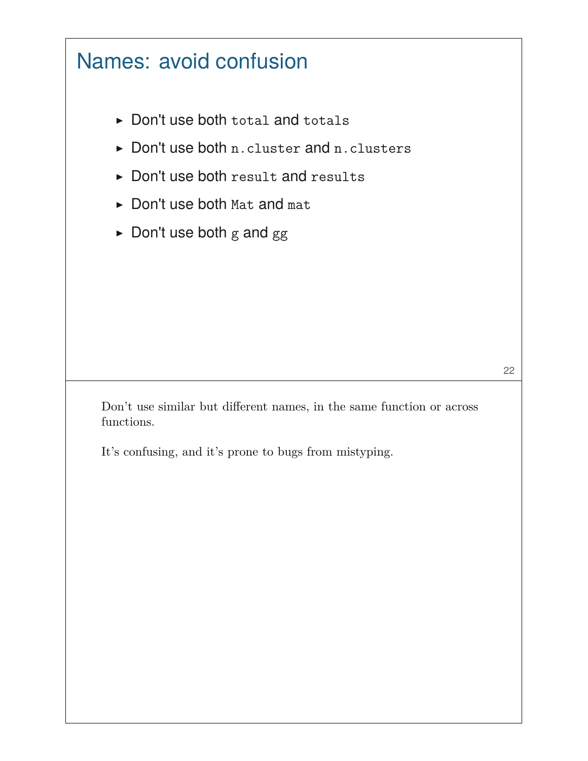## Names: avoid confusion

- ▶ Don't use both total and totals
- ▶ Don't use both n.cluster and n.clusters
- ▶ Don't use both result and results
- ▶ Don't use both Mat and mat
- $\blacktriangleright$  Don't use both g and gg

Don't use similar but different names, in the same function or across functions.

It's confusing, and it's prone to bugs from mistyping.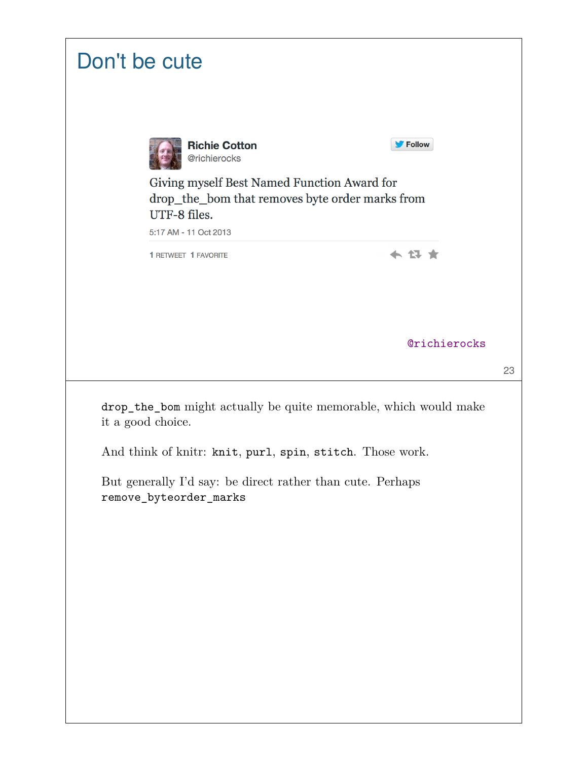| Don't be cute                                                                                                                                                                             |
|-------------------------------------------------------------------------------------------------------------------------------------------------------------------------------------------|
| Follow<br><b>Richie Cotton</b><br>@richierocks<br>Giving myself Best Named Function Award for<br>drop_the_bom that removes byte order marks from<br>UTF-8 files.<br>5:17 AM - 11 Oct 2013 |
| <b>1 RETWEET 1 FAVORITE</b>                                                                                                                                                               |
| <b>@richierocks</b><br>23                                                                                                                                                                 |
| drop_the_bom might actually be quite memorable, which would make<br>it a good choice.<br>And think of knitr: knit, purl, spin, stitch. Those work.                                        |
| But generally I'd say: be direct rather than cute. Perhaps<br>remove_byteorder_marks                                                                                                      |
|                                                                                                                                                                                           |
|                                                                                                                                                                                           |
|                                                                                                                                                                                           |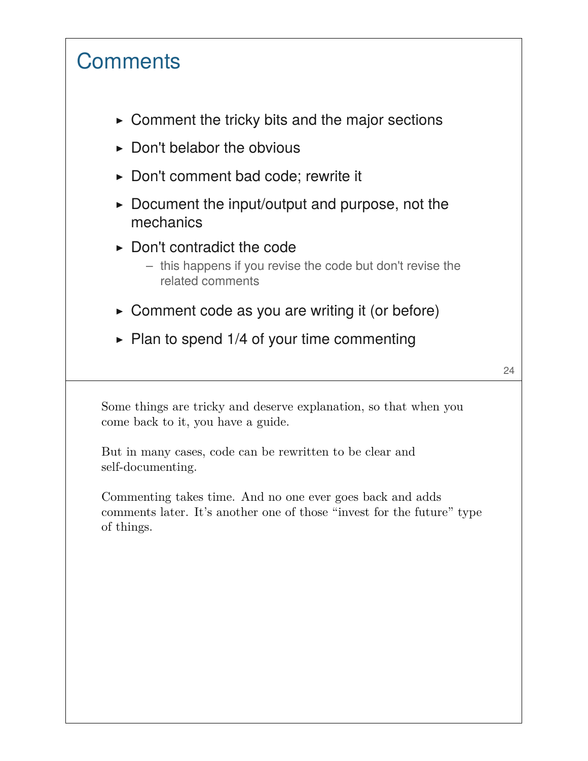## **Comments**

- $\triangleright$  Comment the tricky bits and the major sections
- $\triangleright$  Don't belabor the obvious
- ▶ Don't comment bad code; rewrite it
- $\triangleright$  Document the input/output and purpose, not the mechanics
- $\triangleright$  Don't contradict the code
	- this happens if you revise the code but don't revise the related comments
- $\triangleright$  Comment code as you are writing it (or before)
- $\triangleright$  Plan to spend 1/4 of your time commenting

24

Some things are tricky and deserve explanation, so that when you come back to it, you have a guide.

But in many cases, code can be rewritten to be clear and self-documenting.

Commenting takes time. And no one ever goes back and adds comments later. It's another one of those "invest for the future" type of things.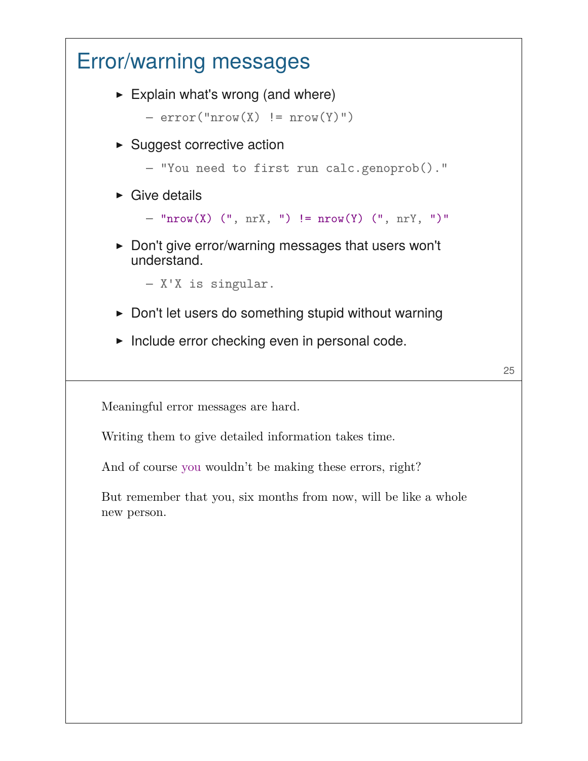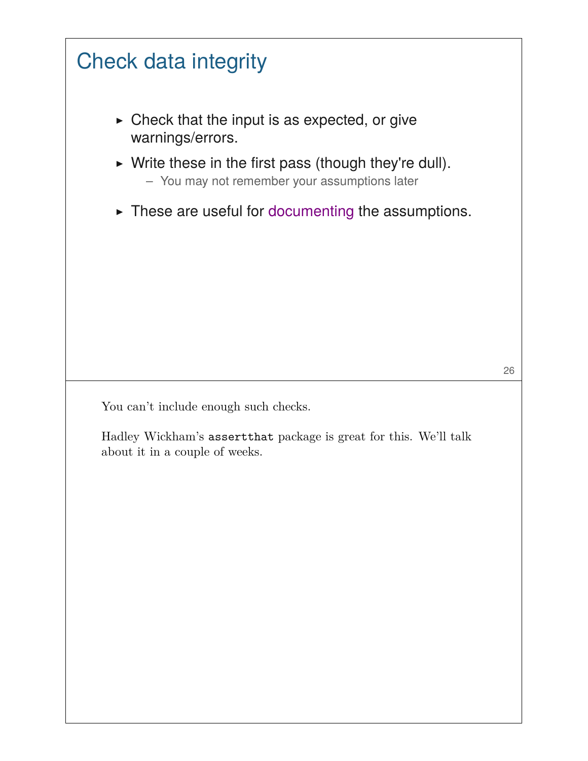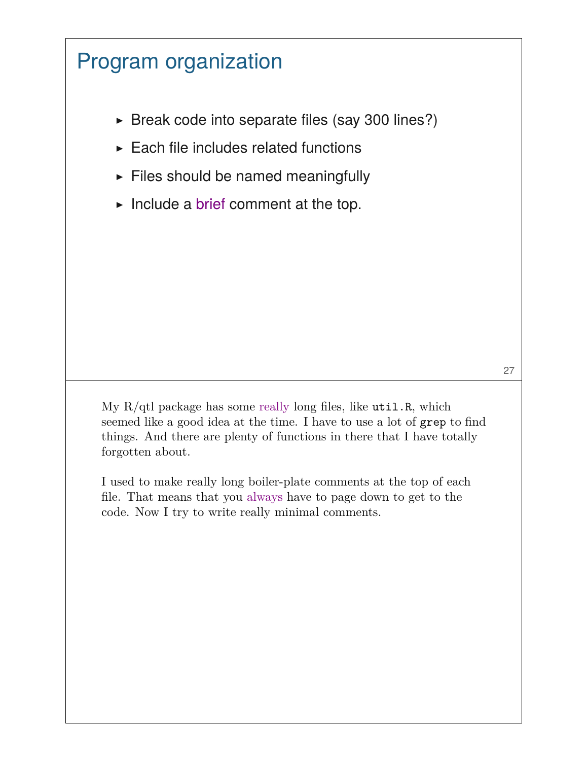## Program organization

- $\triangleright$  Break code into separate files (say 300 lines?)
- $\blacktriangleright$  Each file includes related functions
- $\blacktriangleright$  Files should be named meaningfully
- $\blacktriangleright$  Include a brief comment at the top.

My  $R/dt$  package has some really long files, like  $util.R$ , which seemed like a good idea at the time. I have to use a lot of grep to find things. And there are plenty of functions in there that I have totally forgotten about.

I used to make really long boiler-plate comments at the top of each file. That means that you always have to page down to get to the code. Now I try to write really minimal comments.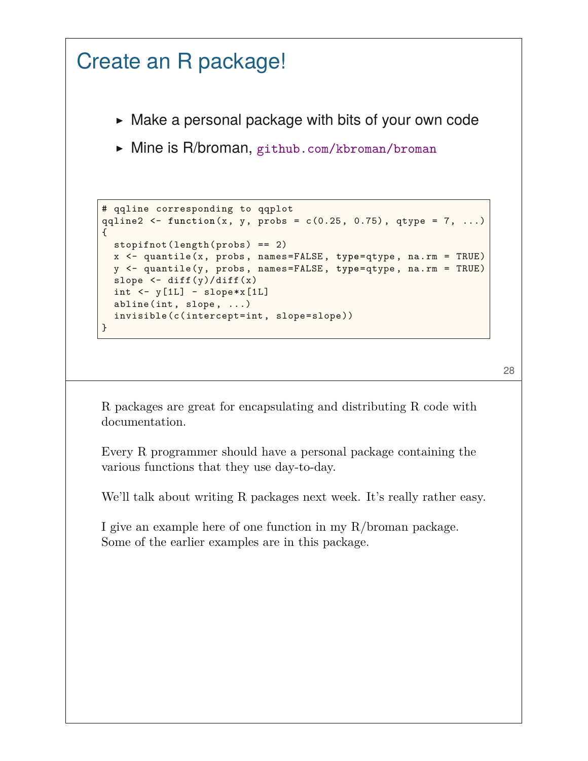```
Create an R package!
      \triangleright Make a personal package with bits of your own code
      ▶ Mine is R/broman, github.com/kbroman/broman
    # qqline corresponding to qqplot
    qqline2 <- function(x, y, probs = c(0.25, 0.75), qtype = 7, ...)
    {
      stopifnot(length(probs) == 2)
      x <- quantile(x, probs, names=FALSE, type=qtype, na.rm = TRUE)
      y <- quantile(y, probs, names=FALSE, type=qtype, na.rm = TRUE)
      slope \leftarrow diff(y)/diff(x)
      int < -y[1L] - slope*x[1L]abline(int, slope, ...)
      invisible(c(intercept=int, slope=slope))
    }
```

```
28
```
R packages are great for encapsulating and distributing R code with documentation.

Every R programmer should have a personal package containing the various functions that they use day-to-day.

We'll talk about writing R packages next week. It's really rather easy.

I give an example here of one function in my R/broman package. Some of the earlier examples are in this package.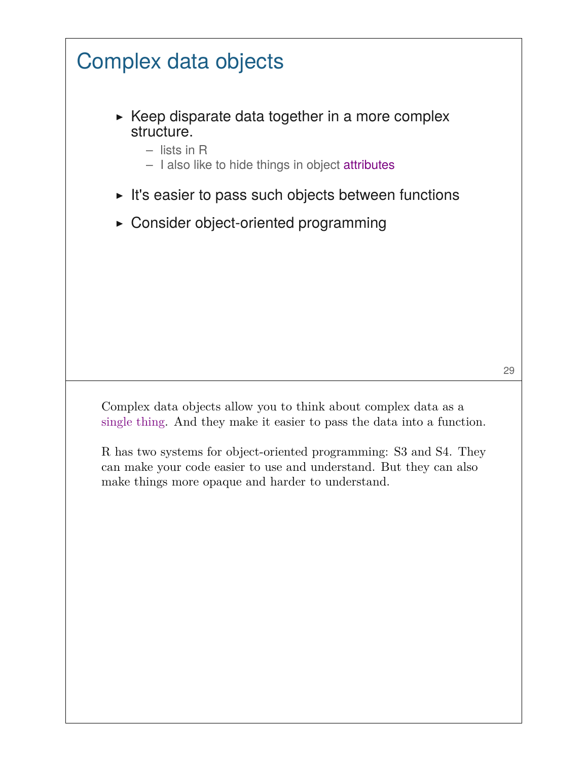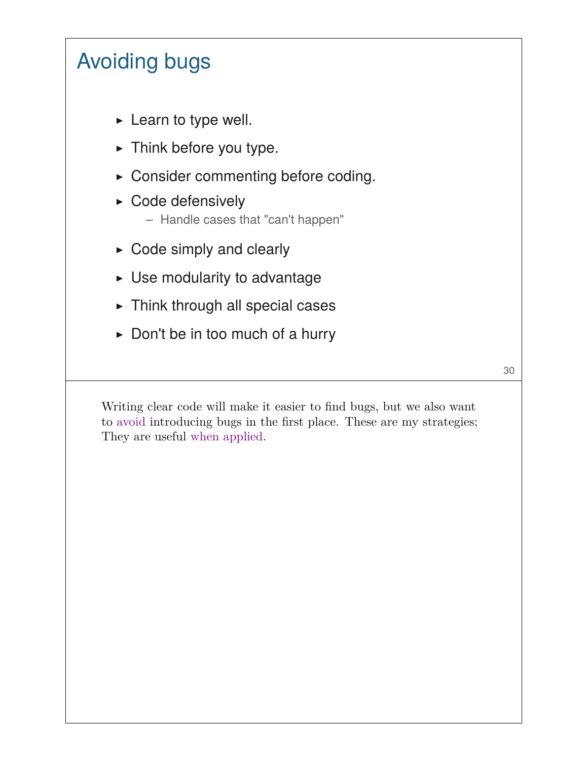# Avoiding bugs

- $\blacktriangleright$  Learn to type well.
- $\blacktriangleright$  Think before you type.
- ▶ Consider commenting before coding.
- ▶ Code defensively
	- Handle cases that "can't happen"
- $\triangleright$  Code simply and clearly
- $\triangleright$  Use modularity to advantage
- $\triangleright$  Think through all special cases
- $\triangleright$  Don't be in too much of a hurry

30

Writing clear code will make it easier to find bugs, but we also want to avoid introducing bugs in the first place. These are my strategies; They are useful when applied.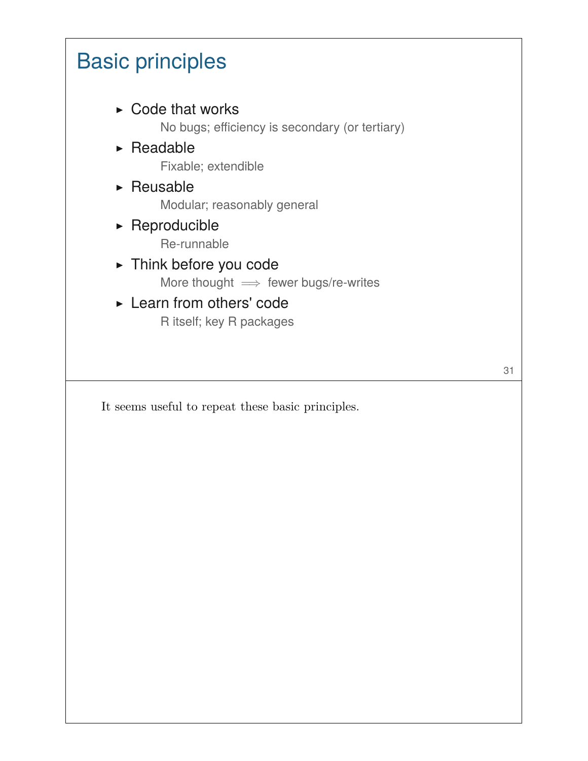#### Basic principles  $\triangleright$  Code that works No bugs; efficiency is secondary (or tertiary)  $\triangleright$  Readable Fixable; extendible  $\triangleright$  Reusable Modular; reasonably general  $\triangleright$  Reproducible Re-runnable ▶ Think before you code More thought  $\implies$  fewer bugs/re-writes ▶ Learn from others' code R itself; key R packages

31

It seems useful to repeat these basic principles.